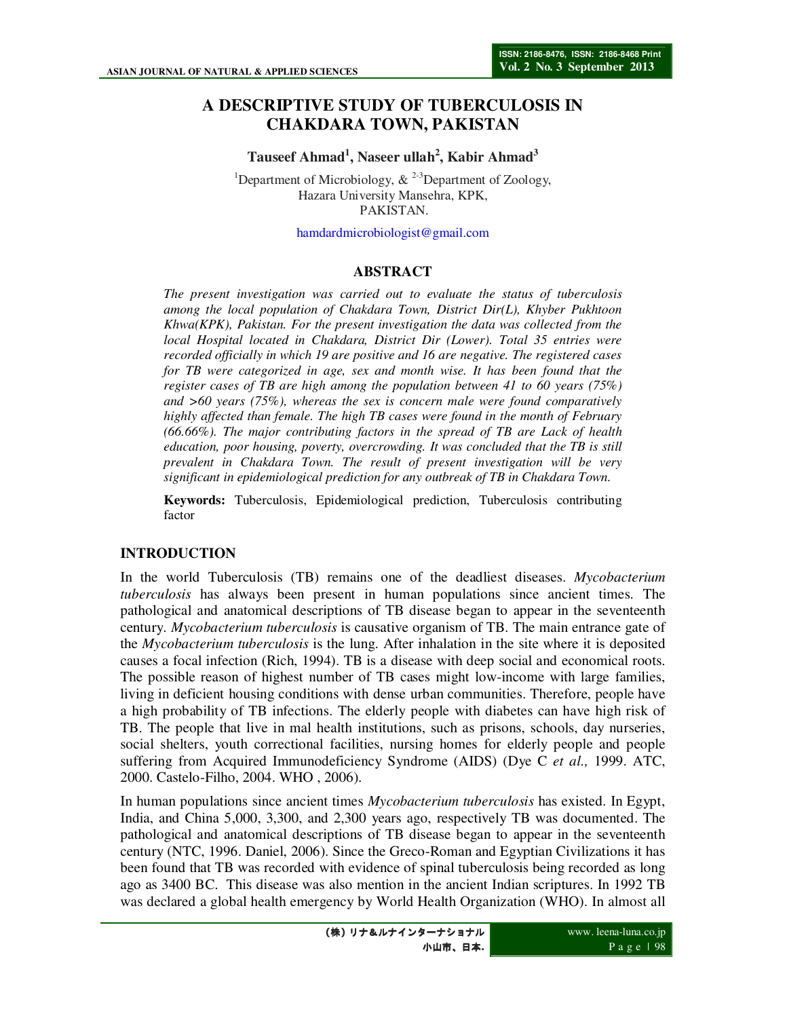# **A DESCRIPTIVE STUDY OF TUBERCULOSIS IN CHAKDARA TOWN, PAKISTAN**

**Tauseef Ahmad<sup>1</sup> , Naseer ullah<sup>2</sup> , Kabir Ahmad<sup>3</sup>**

<sup>1</sup>Department of Microbiology,  $\&$  <sup>2-3</sup>Department of Zoology, Hazara University Mansehra, KPK, PAKISTAN.

hamdardmicrobiologist@gmail.com

#### **ABSTRACT**

*The present investigation was carried out to evaluate the status of tuberculosis among the local population of Chakdara Town, District Dir(L), Khyber Pukhtoon Khwa(KPK), Pakistan. For the present investigation the data was collected from the local Hospital located in Chakdara, District Dir (Lower). Total 35 entries were recorded officially in which 19 are positive and 16 are negative. The registered cases for TB were categorized in age, sex and month wise. It has been found that the register cases of TB are high among the population between 41 to 60 years (75%) and >60 years (75%), whereas the sex is concern male were found comparatively highly affected than female. The high TB cases were found in the month of February (66.66%). The major contributing factors in the spread of TB are Lack of health education, poor housing, poverty, overcrowding. It was concluded that the TB is still prevalent in Chakdara Town. The result of present investigation will be very significant in epidemiological prediction for any outbreak of TB in Chakdara Town.* 

**Keywords:** Tuberculosis, Epidemiological prediction, Tuberculosis contributing factor

#### **INTRODUCTION**

In the world Tuberculosis (TB) remains one of the deadliest diseases. *Mycobacterium tuberculosis* has always been present in human populations since ancient times. The pathological and anatomical descriptions of TB disease began to appear in the seventeenth century. *Mycobacterium tuberculosis* is causative organism of TB. The main entrance gate of the *Mycobacterium tuberculosis* is the lung. After inhalation in the site where it is deposited causes a focal infection (Rich, 1994). TB is a disease with deep social and economical roots. The possible reason of highest number of TB cases might low-income with large families, living in deficient housing conditions with dense urban communities. Therefore, people have a high probability of TB infections. The elderly people with diabetes can have high risk of TB. The people that live in mal health institutions, such as prisons, schools, day nurseries, social shelters, youth correctional facilities, nursing homes for elderly people and people suffering from Acquired Immunodeficiency Syndrome (AIDS) (Dye C *et al.,* 1999. ATC, 2000. Castelo-Filho, 2004. WHO , 2006).

In human populations since ancient times *Mycobacterium tuberculosis* has existed. In Egypt, India, and China 5,000, 3,300, and 2,300 years ago, respectively TB was documented. The pathological and anatomical descriptions of TB disease began to appear in the seventeenth century (NTC, 1996. Daniel, 2006). Since the Greco-Roman and Egyptian Civilizations it has been found that TB was recorded with evidence of spinal tuberculosis being recorded as long ago as 3400 BC. This disease was also mention in the ancient Indian scriptures. In 1992 TB was declared a global health emergency by World Health Organization (WHO). In almost all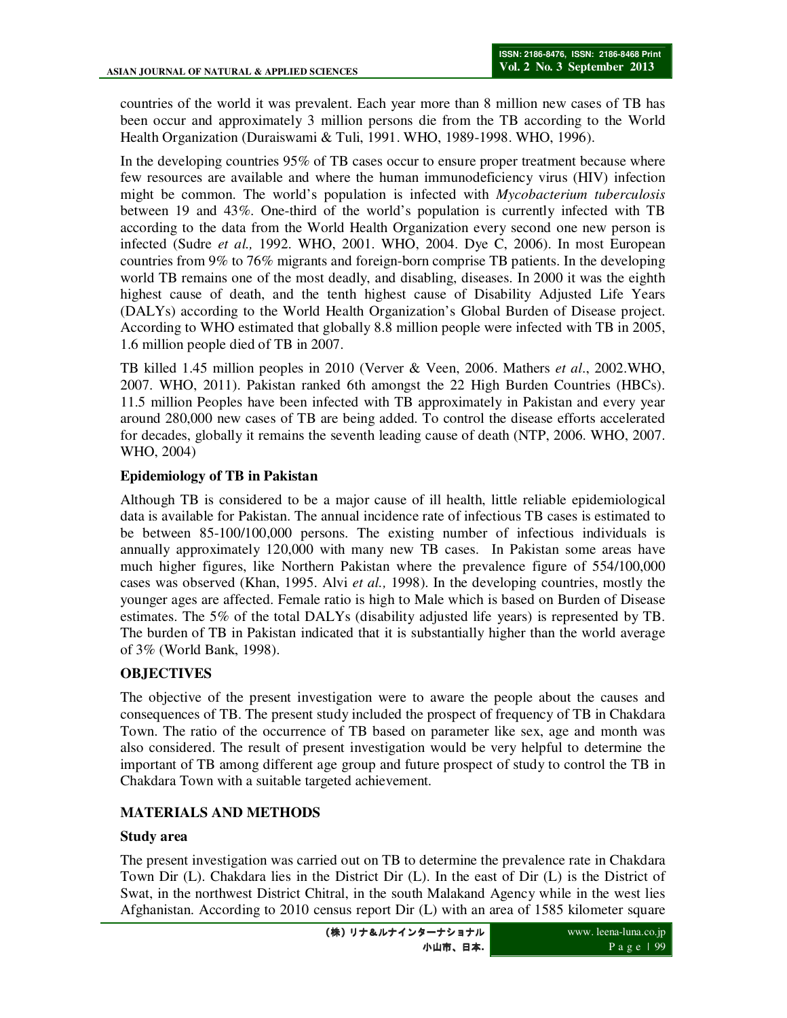countries of the world it was prevalent. Each year more than 8 million new cases of TB has been occur and approximately 3 million persons die from the TB according to the World Health Organization (Duraiswami & Tuli, 1991. WHO, 1989-1998. WHO, 1996).

In the developing countries 95% of TB cases occur to ensure proper treatment because where few resources are available and where the human immunodeficiency virus (HIV) infection might be common. The world's population is infected with *Mycobacterium tuberculosis* between 19 and 43%. One-third of the world's population is currently infected with TB according to the data from the World Health Organization every second one new person is infected (Sudre *et al.,* 1992. WHO, 2001. WHO, 2004. Dye C, 2006). In most European countries from 9% to 76% migrants and foreign-born comprise TB patients. In the developing world TB remains one of the most deadly, and disabling, diseases. In 2000 it was the eighth highest cause of death, and the tenth highest cause of Disability Adjusted Life Years (DALYs) according to the World Health Organization's Global Burden of Disease project. According to WHO estimated that globally 8.8 million people were infected with TB in 2005, 1.6 million people died of TB in 2007.

TB killed 1.45 million peoples in 2010 (Verver & Veen, 2006. Mathers *et al*., 2002.WHO, 2007. WHO, 2011). Pakistan ranked 6th amongst the 22 High Burden Countries (HBCs). 11.5 million Peoples have been infected with TB approximately in Pakistan and every year around 280,000 new cases of TB are being added. To control the disease efforts accelerated for decades, globally it remains the seventh leading cause of death (NTP, 2006. WHO, 2007. WHO, 2004)

### **Epidemiology of TB in Pakistan**

Although TB is considered to be a major cause of ill health, little reliable epidemiological data is available for Pakistan. The annual incidence rate of infectious TB cases is estimated to be between 85-100/100,000 persons. The existing number of infectious individuals is annually approximately 120,000 with many new TB cases. In Pakistan some areas have much higher figures, like Northern Pakistan where the prevalence figure of 554/100,000 cases was observed (Khan, 1995. Alvi *et al.,* 1998). In the developing countries, mostly the younger ages are affected. Female ratio is high to Male which is based on Burden of Disease estimates. The 5% of the total DALYs (disability adjusted life years) is represented by TB. The burden of TB in Pakistan indicated that it is substantially higher than the world average of 3% (World Bank, 1998).

# **OBJECTIVES**

The objective of the present investigation were to aware the people about the causes and consequences of TB. The present study included the prospect of frequency of TB in Chakdara Town. The ratio of the occurrence of TB based on parameter like sex, age and month was also considered. The result of present investigation would be very helpful to determine the important of TB among different age group and future prospect of study to control the TB in Chakdara Town with a suitable targeted achievement.

# **MATERIALS AND METHODS**

### **Study area**

The present investigation was carried out on TB to determine the prevalence rate in Chakdara Town Dir (L). Chakdara lies in the District Dir (L). In the east of Dir (L) is the District of Swat, in the northwest District Chitral, in the south Malakand Agency while in the west lies Afghanistan. According to 2010 census report Dir (L) with an area of 1585 kilometer square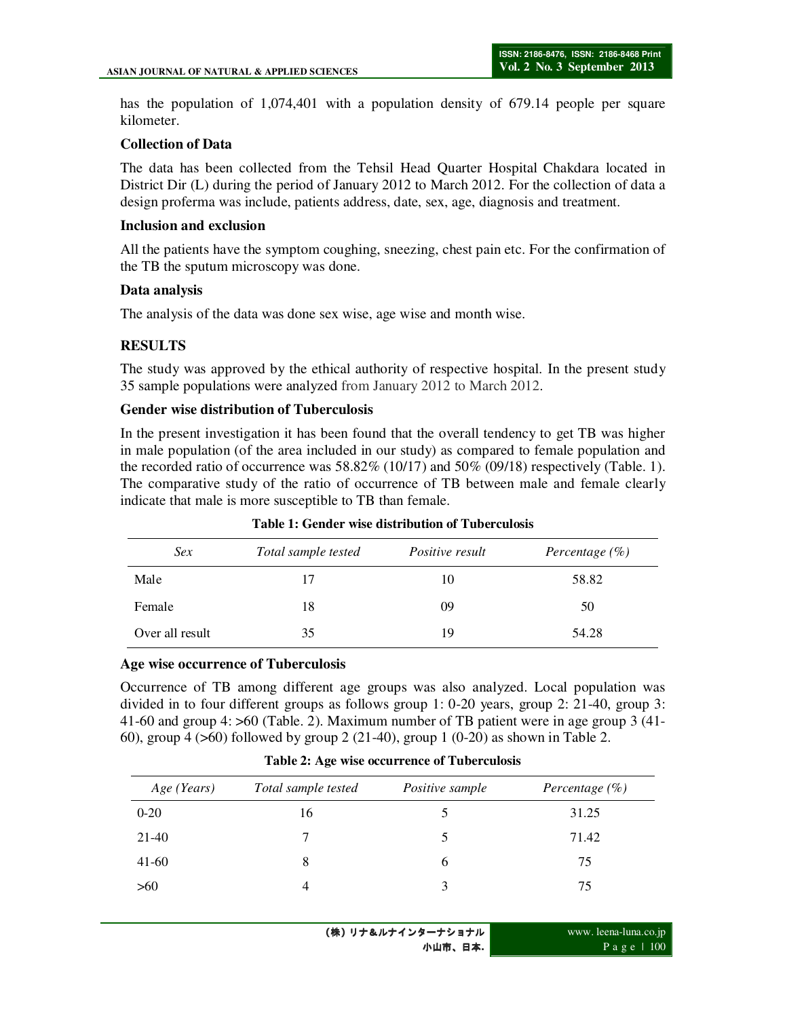has the population of 1,074,401 with a population density of 679.14 people per square kilometer.

#### **Collection of Data**

The data has been collected from the Tehsil Head Quarter Hospital Chakdara located in District Dir (L) during the period of January 2012 to March 2012. For the collection of data a design proferma was include, patients address, date, sex, age, diagnosis and treatment.

#### **Inclusion and exclusion**

All the patients have the symptom coughing, sneezing, chest pain etc. For the confirmation of the TB the sputum microscopy was done.

#### **Data analysis**

The analysis of the data was done sex wise, age wise and month wise.

### **RESULTS**

The study was approved by the ethical authority of respective hospital. In the present study 35 sample populations were analyzed from January 2012 to March 2012.

#### **Gender wise distribution of Tuberculosis**

In the present investigation it has been found that the overall tendency to get TB was higher in male population (of the area included in our study) as compared to female population and the recorded ratio of occurrence was  $58.82\%$  (10/17) and  $50\%$  (09/18) respectively (Table. 1). The comparative study of the ratio of occurrence of TB between male and female clearly indicate that male is more susceptible to TB than female.

| Sex             | Total sample tested | <i>Positive result</i> | Percentage $(\%)$ |
|-----------------|---------------------|------------------------|-------------------|
| Male            | 17                  | 10                     | 58.82             |
| Female          | 18                  | 09                     | 50                |
| Over all result | 35                  | 19                     | 54.28             |

**Table 1: Gender wise distribution of Tuberculosis** 

#### **Age wise occurrence of Tuberculosis**

Occurrence of TB among different age groups was also analyzed. Local population was divided in to four different groups as follows group 1: 0-20 years, group 2: 21-40, group 3: 41-60 and group 4: >60 (Table. 2). Maximum number of TB patient were in age group 3 (41- 60), group 4 (>60) followed by group 2 (21-40), group 1 (0-20) as shown in Table 2.

| Age (Years) | Total sample tested | Positive sample | Percentage $(\%)$ |
|-------------|---------------------|-----------------|-------------------|
| $0 - 20$    | 16                  |                 | 31.25             |
| 21-40       |                     | 5               | 71.42             |
| $41-60$     | 8                   | $\mathfrak b$   | 75                |
| >60         | $\overline{4}$      | 3               | 75                |

**Table 2: Age wise occurrence of Tuberculosis**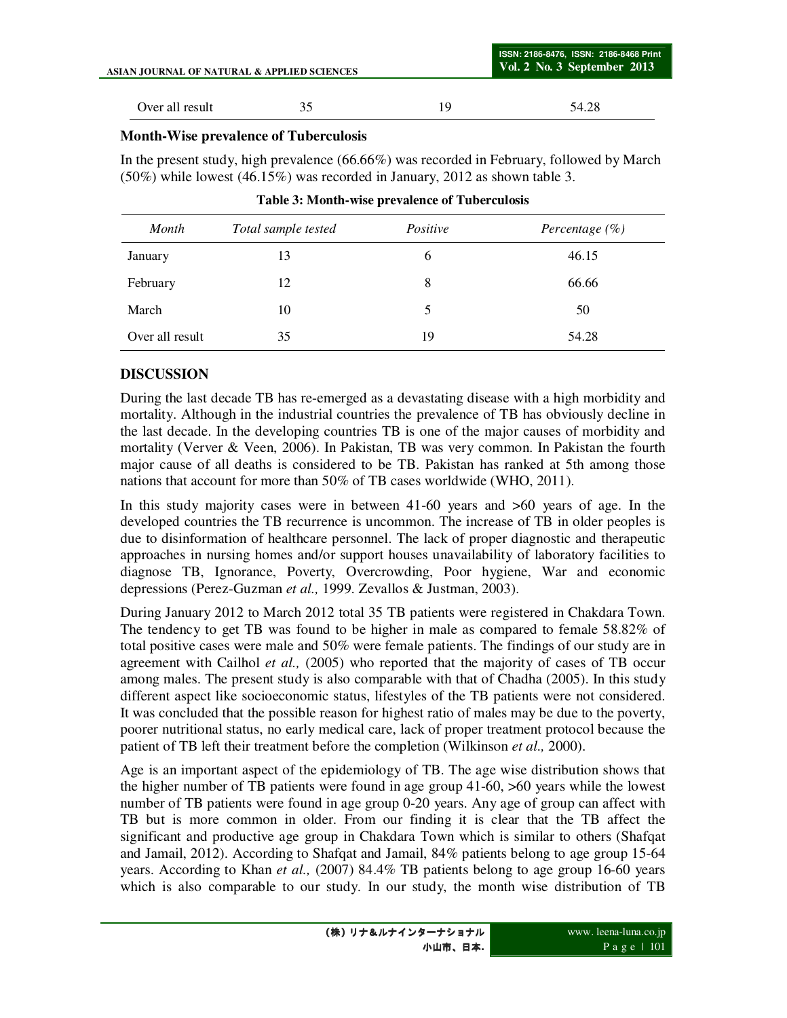| ASIAN JOURNAL OF NATURAL & APPLIED SCIENCES |    |     | ISSN: 2186-8476, ISSN: 2186-8468 Print<br>$Vol. 2$ No. 3 September 2013 |
|---------------------------------------------|----|-----|-------------------------------------------------------------------------|
| Over all result                             | 35 | 10, | 54.28                                                                   |

# **Month-Wise prevalence of Tuberculosis**

In the present study, high prevalence (66.66%) was recorded in February, followed by March (50%) while lowest (46.15%) was recorded in January, 2012 as shown table 3.

| Month           | Total sample tested | Positive | Percentage $(\%)$ |
|-----------------|---------------------|----------|-------------------|
| January         | 13                  | 6        | 46.15             |
| February        | 12                  | 8        | 66.66             |
| March           | 10                  | 5        | 50                |
| Over all result | 35                  | 19       | 54.28             |

|  |  |  | Table 3: Month-wise prevalence of Tuberculosis |
|--|--|--|------------------------------------------------|
|--|--|--|------------------------------------------------|

# **DISCUSSION**

During the last decade TB has re-emerged as a devastating disease with a high morbidity and mortality. Although in the industrial countries the prevalence of TB has obviously decline in the last decade. In the developing countries TB is one of the major causes of morbidity and mortality (Verver & Veen, 2006). In Pakistan, TB was very common. In Pakistan the fourth major cause of all deaths is considered to be TB. Pakistan has ranked at 5th among those nations that account for more than 50% of TB cases worldwide (WHO, 2011).

In this study majority cases were in between 41-60 years and >60 years of age. In the developed countries the TB recurrence is uncommon. The increase of TB in older peoples is due to disinformation of healthcare personnel. The lack of proper diagnostic and therapeutic approaches in nursing homes and/or support houses unavailability of laboratory facilities to diagnose TB, Ignorance, Poverty, Overcrowding, Poor hygiene, War and economic depressions (Perez-Guzman *et al.,* 1999. Zevallos & Justman, 2003).

During January 2012 to March 2012 total 35 TB patients were registered in Chakdara Town. The tendency to get TB was found to be higher in male as compared to female 58.82% of total positive cases were male and 50% were female patients. The findings of our study are in agreement with Cailhol *et al.,* (2005) who reported that the majority of cases of TB occur among males. The present study is also comparable with that of Chadha (2005). In this study different aspect like socioeconomic status, lifestyles of the TB patients were not considered. It was concluded that the possible reason for highest ratio of males may be due to the poverty, poorer nutritional status, no early medical care, lack of proper treatment protocol because the patient of TB left their treatment before the completion (Wilkinson *et al.,* 2000).

Age is an important aspect of the epidemiology of TB. The age wise distribution shows that the higher number of TB patients were found in age group 41-60, >60 years while the lowest number of TB patients were found in age group 0-20 years. Any age of group can affect with TB but is more common in older. From our finding it is clear that the TB affect the significant and productive age group in Chakdara Town which is similar to others (Shafqat and Jamail, 2012). According to Shafqat and Jamail, 84% patients belong to age group 15-64 years. According to Khan *et al.,* (2007) 84.4% TB patients belong to age group 16-60 years which is also comparable to our study. In our study, the month wise distribution of TB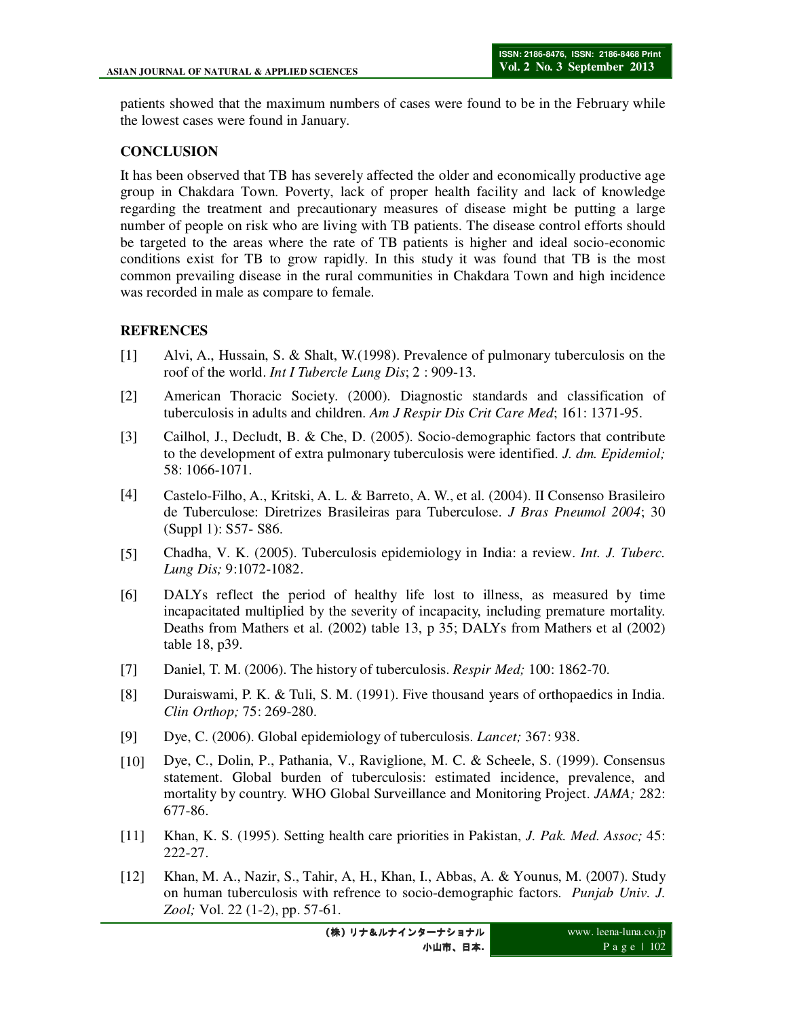patients showed that the maximum numbers of cases were found to be in the February while the lowest cases were found in January.

## **CONCLUSION**

It has been observed that TB has severely affected the older and economically productive age group in Chakdara Town. Poverty, lack of proper health facility and lack of knowledge regarding the treatment and precautionary measures of disease might be putting a large number of people on risk who are living with TB patients. The disease control efforts should be targeted to the areas where the rate of TB patients is higher and ideal socio-economic conditions exist for TB to grow rapidly. In this study it was found that TB is the most common prevailing disease in the rural communities in Chakdara Town and high incidence was recorded in male as compare to female.

## **REFRENCES**

- [1] Alvi, A., Hussain, S. & Shalt, W.(1998). Prevalence of pulmonary tuberculosis on the roof of the world. *Int I Tubercle Lung Dis*; 2 : 909-13.
- [2] American Thoracic Society. (2000). Diagnostic standards and classification of tuberculosis in adults and children. *Am J Respir Dis Crit Care Med*; 161: 1371-95.
- [3] Cailhol, J., Decludt, B. & Che, D. (2005). Socio-demographic factors that contribute to the development of extra pulmonary tuberculosis were identified. *J. dm. Epidemiol;*  58: 1066-1071.
- [4] Castelo-Filho, A., Kritski, A. L. & Barreto, A. W., et al. (2004). II Consenso Brasileiro de Tuberculose: Diretrizes Brasileiras para Tuberculose. *J Bras Pneumol 2004*; 30 (Suppl 1): S57- S86.
- [5] Chadha, V. K. (2005). Tuberculosis epidemiology in India: a review. *Int. J. Tuberc. Lung Dis;* 9:1072-1082.
- [6] DALYs reflect the period of healthy life lost to illness, as measured by time incapacitated multiplied by the severity of incapacity, including premature mortality. Deaths from Mathers et al. (2002) table 13, p 35; DALYs from Mathers et al (2002) table 18, p39.
- [7] Daniel, T. M. (2006). The history of tuberculosis. *Respir Med;* 100: 1862-70.
- [8] Duraiswami, P. K. & Tuli, S. M. (1991). Five thousand years of orthopaedics in India. *Clin Orthop;* 75: 269-280.
- [9] Dye, C. (2006). Global epidemiology of tuberculosis. *Lancet;* 367: 938.
- [10] Dye, C., Dolin, P., Pathania, V., Raviglione, M. C. & Scheele, S. (1999). Consensus statement. Global burden of tuberculosis: estimated incidence, prevalence, and mortality by country. WHO Global Surveillance and Monitoring Project. *JAMA;* 282: 677-86.
- [11] Khan, K. S. (1995). Setting health care priorities in Pakistan, *J. Pak. Med. Assoc;* 45: 222-27.
- [12] Khan, M. A., Nazir, S., Tahir, A, H., Khan, I., Abbas, A. & Younus, M. (2007). Study on human tuberculosis with refrence to socio-demographic factors. *Punjab Univ. J. Zool;* Vol. 22 (1-2), pp. 57-61.